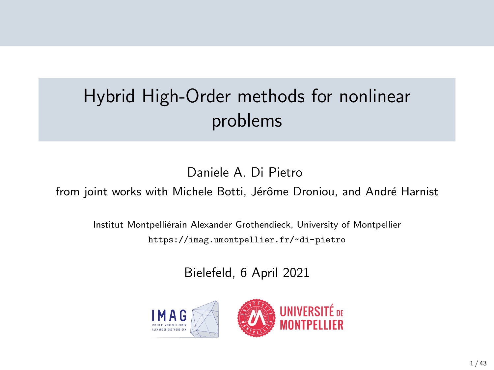# Hybrid High-Order methods for nonlinear problems

Daniele A. Di Pietro

from joint works with Michele Botti, Jérôme Droniou, and André Harnist

Institut Montpelliérain Alexander Grothendieck, University of Montpellier <https://imag.umontpellier.fr/~di-pietro>

Bielefeld, 6 April 2021

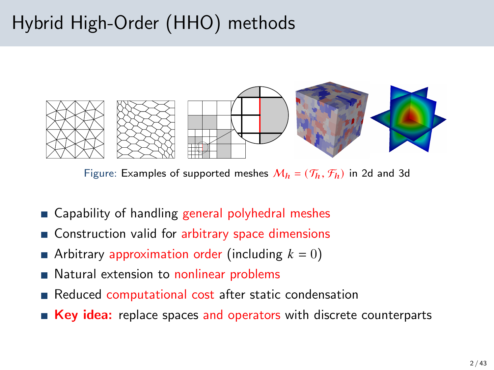# Hybrid High-Order (HHO) methods



Figure: Examples of supported meshes  $M_h = (\mathcal{T}_h, \mathcal{F}_h)$  in 2d and 3d

- Capability of handling general polyhedral meshes
- Construction valid for arbitrary space dimensions
- Arbitrary approximation order (including  $k = 0$ )
- Natural extension to nonlinear problems
- Reduced computational cost after static condensation
- Key idea: replace spaces and operators with discrete counterparts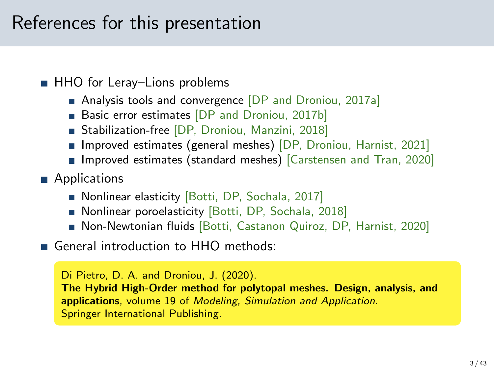## References for this presentation

### ■ HHO for Leray–Lions problems

- Analysis tools and convergence [\[DP and Droniou, 2017a\]](#page-41-0)
- Basic error estimates [\[DP and Droniou, 2017b\]](#page-41-1)
- Stabilization-free [DP, Droniou, Manzini, 2018]
- **Improved estimates (general meshes) [DP, Droniou, Harnist, 2021]**
- **Improved estimates (standard meshes)** [\[Carstensen and Tran, 2020\]](#page-41-2)
- **Applications** 
	- Nonlinear elasticity [Botti, DP, Sochala, 2017]
	- Nonlinear poroelasticity [Botti, DP, Sochala, 2018]
	- Non-Newtonian fluids [Botti, Castanon Quiroz, DP, Harnist, 2020]
- General introduction to HHO methods:

Di Pietro, D. A. and Droniou, J. (2020). The Hybrid High-Order method for polytopal meshes. Design, analysis, and applications, volume 19 of Modeling, Simulation and Application. Springer International Publishing.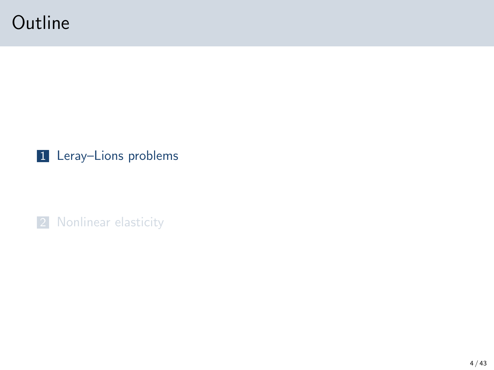## <span id="page-3-0"></span>**Outline**

### 1 Leray-Lions problems

2 [Nonlinear elasticity](#page-22-0)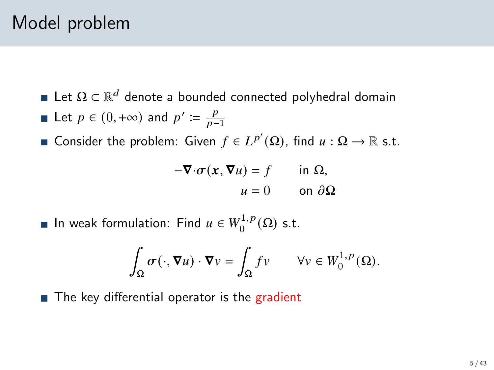## Model problem

- Let  $\Omega \subset \mathbb{R}^d$  denote a bounded connected polyhedral domain
- Let  $p \in (0, +\infty)$  and  $p' \coloneqq \frac{p}{p-1}$  $\overline{p-1}$
- Consider the problem: Given  $f \in L^{p'}(\Omega)$ , find  $u : \Omega \to \mathbb{R}$  s.t.

$$
-\nabla \cdot \sigma(x, \nabla u) = f \quad \text{in } \Omega,
$$
  

$$
u = 0 \quad \text{on } \partial \Omega
$$

In weak formulation: Find  $u \in W_0^{1,p}$  $i_{0}^{1,p}(\Omega)$  s.t.

$$
\int_{\Omega} \sigma(\cdot, \nabla u) \cdot \nabla v = \int_{\Omega} f v \qquad \forall v \in W_0^{1, p}(\Omega).
$$

■ The key differential operator is the gradient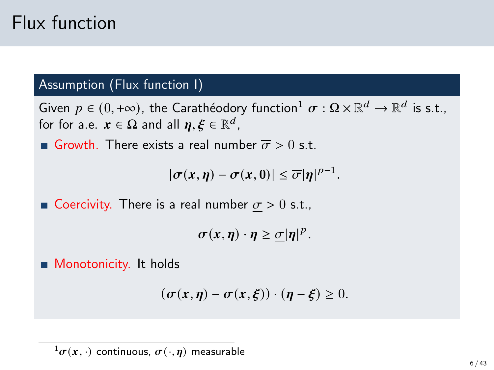## Flux function

### Assumption (Flux function I)

Given  $p \in (0, +\infty)$ , the Carathéodory function $^1 \sigma : \Omega \times \mathbb{R}^d \to \mathbb{R}^d$  is s.t., for for a.e.  $x \in \Omega$  and all  $\eta, \xi \in \mathbb{R}^d$ ,

Growth. There exists a real number  $\overline{\sigma} > 0$  s.t.

 $|\sigma(x,\eta)-\sigma(x,0)| \leq \overline{\sigma} |\eta|^{p-1}.$ 

Goercivity. There is a real number  $\sigma > 0$  s.t.,

 $\sigma(x,\eta) \cdot \eta \geq \frac{\sigma}{\eta} |\eta|^p$ .

**Monotonicity.** It holds

$$
(\sigma(x,\eta)-\sigma(x,\xi))\cdot(\eta-\xi)\geq 0.
$$

 $^{1}\sigma(x, \cdot)$  continuous,  $\sigma(\cdot, \eta)$  measurable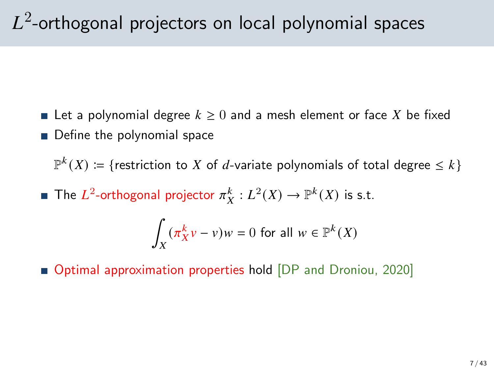# $L^2\!\!$ -orthogonal projectors on local polynomial spaces

- **Let a polynomial degree**  $k \geq 0$  and a mesh element or face X be fixed
- Define the polynomial space

 $\mathbb{P}^k(X) \coloneqq \{ \text{restriction to } X \text{ of } d\text{-variable polynomials of total degree } \leq k \}$ 

The  $L^2$ -orthogonal projector  $\pi_X^k: L^2(X) \to \mathbb{P}^k(X)$  is s.t.

$$
\int_X (\pi_X^k v - v)w = 0 \text{ for all } w \in \mathbb{P}^k(X)
$$

■ Optimal approximation properties hold [\[DP and Droniou, 2020\]](#page-41-3)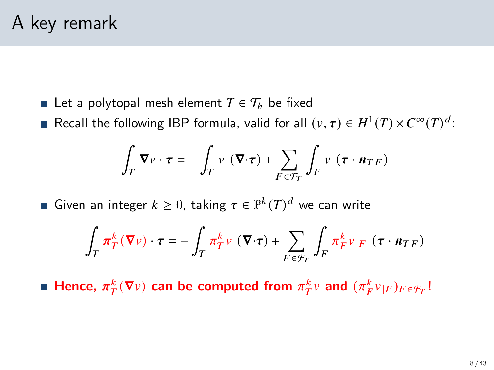- Let a polytopal mesh element  $T \in \mathcal{T}_h$  be fixed
- Recall the following IBP formula, valid for all  $(v, \tau) \in H^1(T) \times C^\infty(\overline{T})^d$ :

$$
\int_T \nabla v \cdot \tau = -\int_T v (\nabla \cdot \tau) + \sum_{F \in \mathcal{F}_T} \int_F v (\tau \cdot n_{TF})
$$

Given an integer  $k \geq 0$ , taking  $\tau \in \mathbb{P}^k(T)^d$  we can write

$$
\int_{T} \pi_{T}^{k} (\nabla v) \cdot \tau = - \int_{T} \pi_{T}^{k} v (\nabla \cdot \tau) + \sum_{F \in \mathcal{F}_{T}} \int_{F} \pi_{F}^{k} v_{|F} (\tau \cdot \mathbf{n}_{TF})
$$

Hence,  $\pi_T^k(\nabla v)$  can be computed from  $\pi_T^k v$  and  $(\pi_F^k v_{|F})_{F \in \mathcal{F}_T}$ !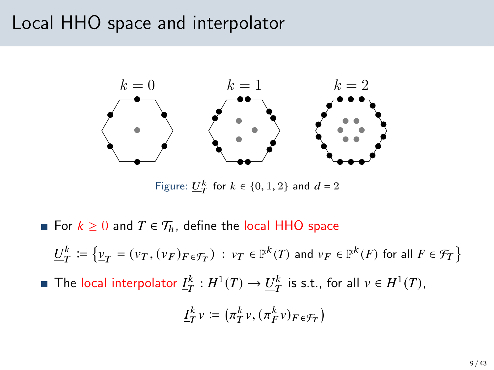## Local HHO space and interpolator



Figure:  $\underline{U}_T^k$  for  $k \in \{0, 1, 2\}$  and  $d = 2$ 

- For  $k \geq 0$  and  $T \in \mathcal{T}_h$ , define the local HHO space
	- $\underline{U}_T^k \coloneqq \big\{ \underline{v}_T = (v_T, (v_F)_{F \in \mathcal{F}_T} ) : v_T \in \mathbb{P}^k(T) \text{ and } v_F \in \mathbb{P}^k(F) \text{ for all } F \in \mathcal{F}_T \big\}$
- The local interpolator  $\underline{I}_T^k : H^1(T) \to \underline{U}_T^k$  is s.t., for all  $v \in H^1(T)$ ,

$$
\underline{I}_T^k v \coloneqq \left(\pi_T^k v, (\pi_F^k v)_{F\in\mathcal{F}_T}\right)
$$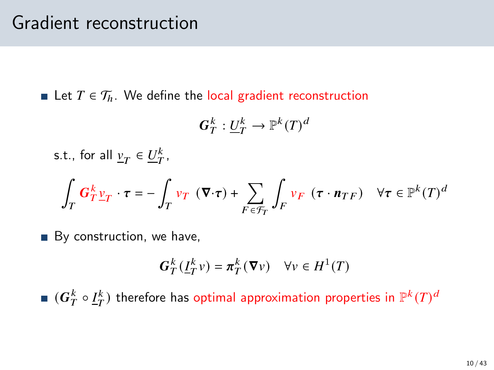**■** Let  $T \in \mathcal{T}_h$ . We define the local gradient reconstruction

$$
\pmb{G}_T^k:\underline{U}_T^k\to\mathbb{P}^k(T)^d
$$

s.t., for all 
$$
\underline{v}_T \in \underline{U}_T^k
$$
,  
\n
$$
\int_T \mathbf{G}_T^k \underline{v}_T \cdot \boldsymbol{\tau} = -\int_T v_T (\boldsymbol{\nabla} \cdot \boldsymbol{\tau}) + \sum_{F \in \mathcal{F}_T} \int_F v_F (\boldsymbol{\tau} \cdot \mathbf{n}_{TF}) \quad \forall \boldsymbol{\tau} \in \mathbb{P}^k(T)^d
$$

By construction, we have,

$$
\boldsymbol{G}_T^k(\underline{\boldsymbol{I}}_T^k v) = \boldsymbol{\pi}_T^k(\boldsymbol{\nabla} v) \quad \forall v \in H^1(T)
$$

 $(\bm{G}_T^k \circ \underline{I}_T^k)$  therefore has optimal approximation properties in  $\mathbb{P}^k(T)^d$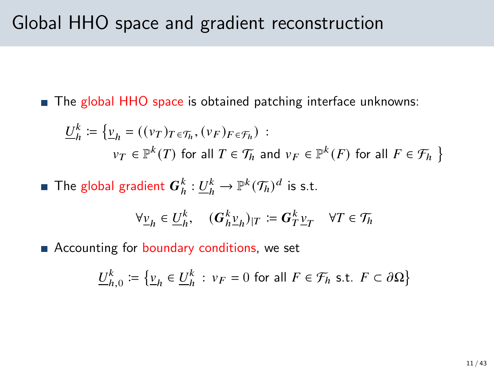## Global HHO space and gradient reconstruction

■ The global HHO space is obtained patching interface unknowns:

$$
\underline{U}_h^k := \{ \underline{v}_h = ((\nu_T)_{T \in \mathcal{T}_h}, (\nu_F)_{F \in \mathcal{T}_h}) :
$$
  

$$
\nu_T \in \mathbb{P}^k(T) \text{ for all } T \in \mathcal{T}_h \text{ and } \nu_F \in \mathbb{P}^k(F) \text{ for all } F \in \mathcal{T}_h \}
$$

**•** The global gradient 
$$
G_h^k: \underline{U}_h^k \to \mathbb{P}^k(\mathcal{T}_h)^d
$$
 is s.t.

$$
\forall \underline{v}_h \in \underline{U}_h^k, \quad (\boldsymbol{G}_h^k \underline{v}_h)_{|T} \coloneqq \boldsymbol{G}_T^k \underline{v}_T \quad \forall T \in \mathcal{T}_h
$$

Accounting for boundary conditions, we set

$$
\underline{U}_{h,0}^k := \{ \underline{v}_h \in \underline{U}_h^k : v_F = 0 \text{ for all } F \in \mathcal{F}_h \text{ s.t. } F \subset \partial \Omega \}
$$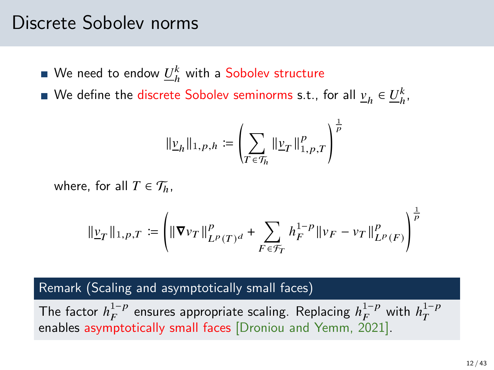### Discrete Sobolev norms

We need to endow  $\underline{U}_h^k$  with a Sobolev structure

We define the discrete Sobolev seminorms s.t., for all  $\underline{v}_h\in \underline{U}_h^k,$ 

$$
\|\underline{\nu}_h\|_{1,p,h}:=\left(\sum_{T\in\mathcal{T}_h}\|\underline{\nu}_T\|_{1,p,T}^p\right)^{\frac{1}{p}}
$$

where, for all  $T \in \mathcal{T}_h$ ,

$$
\|\underline{v}_T\|_{1,p,T} := \left( \|\nabla v_T\|_{L^p(T)^d}^p + \sum_{F \in \mathcal{F}_T} h_F^{1-p} \|v_F - v_T\|_{L^p(F)}^p \right)^{\frac{1}{p}}
$$

#### Remark (Scaling and asymptotically small faces)

The factor  $h_F^{1-p}$  ensures appropriate scaling. Replacing  $h_F^{1-p}$  with  $h_T^{1-p}$ enables asymptotically small faces [\[Droniou and Yemm, 2021\]](#page-42-0).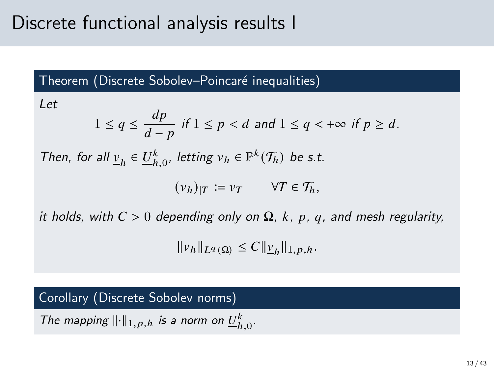## Discrete functional analysis results I

Theorem (Discrete Sobolev–Poincaré inequalities)

Let

$$
1 \le q \le \frac{dp}{d-p} \text{ if } 1 \le p < d \text{ and } 1 \le q < +\infty \text{ if } p \ge d.
$$

Then, for all  $\underline{v}_h \in \underline{U}_{h,0}^k$ , letting  $v_h \in \mathbb{P}^k(\mathcal{T}_h)$  be s.t.

$$
(v_h)_{|T} \coloneqq v_T \qquad \forall T \in \mathcal{T}_h,
$$

it holds, with  $C > 0$  depending only on  $\Omega$ , k, p, q, and mesh regularity,

$$
||v_h||_{L^q(\Omega)} \leq C||\underline{v}_h||_{1,p,h}.
$$

#### Corollary (Discrete Sobolev norms)

The mapping  $\|\cdot\|_{1,p,h}$  is a norm on  $\underline{U}_{h,0}^k$ .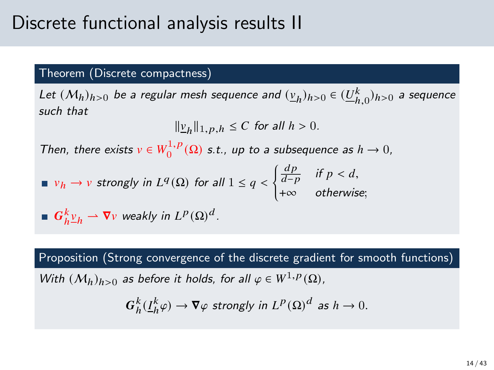### Discrete functional analysis results II

#### Theorem (Discrete compactness)

Let  $(M_h)_{h>0}$  be a regular mesh sequence and  $(\underline{v}_h)_{h>0} \in (\underline{U}_{h,0}^k)_{h>0}$  a sequence such that

$$
\|\underline{v}_h\|_{1,p,h} \le C \text{ for all } h > 0.
$$

Then, there exists  $v \in W_0^{1,p}(\Omega)$  s.t., up to a subsequence as  $h \to 0$ ,

$$
\blacksquare \ v_h \to v \ \text{strongly in} \ L^q(\Omega) \ \text{for all} \ 1 \le q < \begin{cases} \frac{dp}{d-p} & \text{if } p < d, \\ +\infty & \text{otherwise}; \end{cases}
$$

**6** 
$$
G_h^k \underline{v}_h \rightharpoonup \nabla v
$$
 weakly in  $L^p(\Omega)^d$ .

Proposition (Strong convergence of the discrete gradient for smooth functions)

With  $(M_h)_{h>0}$  as before it holds, for all  $\varphi \in W^{1,p}(\Omega)$ ,

$$
G_h^k(\underline{I}_h^k \varphi) \to \nabla \varphi \text{ strongly in } L^p(\Omega)^d \text{ as } h \to 0.
$$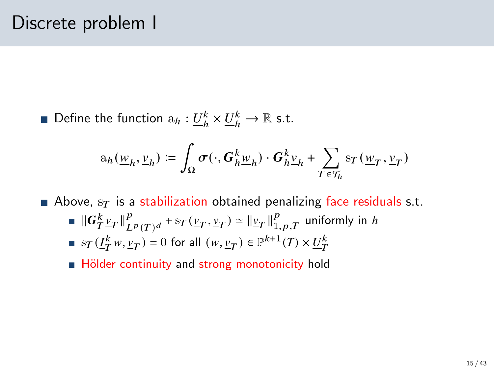Define the function  $a_h: \underline{U}_h^k \times \underline{U}_h^k \to \mathbb{R}$  s.t.

$$
\mathbf{a}_h(\underline{w}_h, \underline{v}_h) \coloneqq \int_{\Omega} \sigma(\cdot, G_h^k \underline{w}_h) \cdot G_h^k \underline{v}_h + \sum_{T \in \mathcal{T}_h} \mathbf{s}_T(\underline{w}_T, \underline{v}_T)
$$

Above,  $s_T$  is a stabilization obtained penalizing face residuals s.t.

 $\left\Vert G_{T}^{k}\underline{v}_{T}\right\Vert _{L}^{p}$  $_{L^p(T)^d}^p$  + s $_T(\underline{v}_T, \underline{v}_T) \simeq ||\underline{v}_T||_{1, p, T}^p$  uniformly in h  $\mathrm{sr}(\underline{I}_T^kw, \underline{v}_T) = 0$  for all  $(w, \underline{v}_T) \in \mathbb{P}^{k+1}(T) \times \underline{U}_T^k$ 

■ Hölder continuity and strong monotonicity hold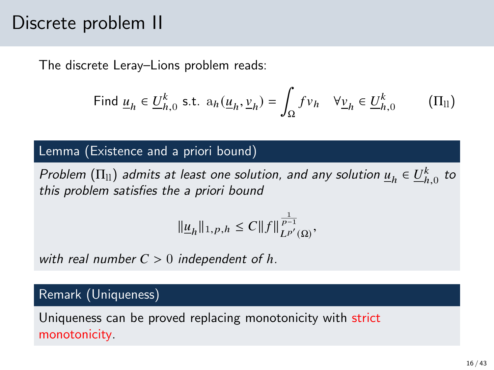## Discrete problem II

The discrete Leray–Lions problem reads:

<span id="page-15-0"></span>Find 
$$
\underline{u}_h \in \underline{U}_{h,0}^k
$$
 s.t.  $a_h(\underline{u}_h, \underline{v}_h) = \int_{\Omega} f v_h \quad \forall \underline{v}_h \in \underline{U}_{h,0}^k$  (II<sub>ll</sub>)

#### Lemma (Existence and a priori bound)

Problem  $(\Pi_{ll})$  admits at least one solution, and any solution  $\underline{u}_h \in \underline{U}_{h,0}^k$  to this problem satisfies the a priori bound

$$
\|\underline{u}_h\|_{1,p,h} \leq C \|f\|_{L^{p'}(\Omega)}^{\frac{1}{p-1}},
$$

with real number  $C > 0$  independent of h.

#### Remark (Uniqueness)

Uniqueness can be proved replacing monotonicity with strict monotonicity.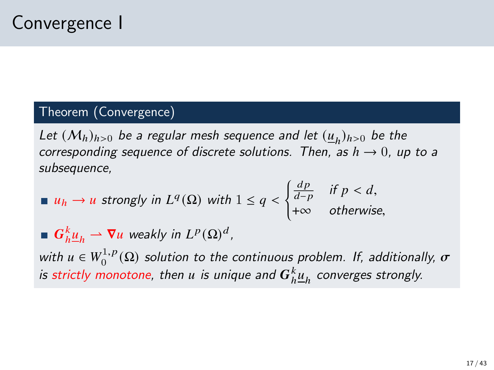### Theorem (Convergence)

Let  $(M_h)_{h>0}$  be a regular mesh sequence and let  $(\underline{u}_h)_{h>0}$  be the corresponding sequence of discrete solutions. Then, as  $h \to 0$ , up to a subsequence,

■ 
$$
u_h \to u
$$
 strongly in  $L^q(\Omega)$  with  $1 \le q < \begin{cases} \frac{dp}{d-p} & \text{if } p < d, \\ +\infty & \text{otherwise,} \end{cases}$   
\n■  $G_h^k \underline{u}_h \to \nabla u$  weakly in  $L^p(\Omega)^d$ ,

with  $u \in W_0^{1,p}$  $\int_0^{1,p}(\Omega)$  solution to the continuous problem. If, additionally,  $\sigma$ is strictly monotone, then  $u$  is unique and  $\boldsymbol{G}_h^k \underline{u}_h$  converges strongly.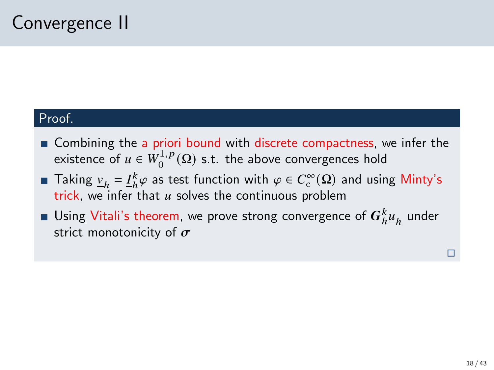#### Proof.

- Combining the a priori bound with discrete compactness, we infer the existence of  $u \in W_0^{1,p}$  $\binom{1}{0}^0$  s.t. the above convergences hold
- Taking  $\underline{v}_h = \underline{I}_h^k \varphi$  as test function with  $\varphi \in C_c^{\infty}(\Omega)$  and using Minty's trick, we infer that  $u$  solves the continuous problem
- Using Vitali's theorem, we prove strong convergence of  $\boldsymbol{G}^k_h \underline{\mu}_h$  under strict monotonicity of  $\sigma$

П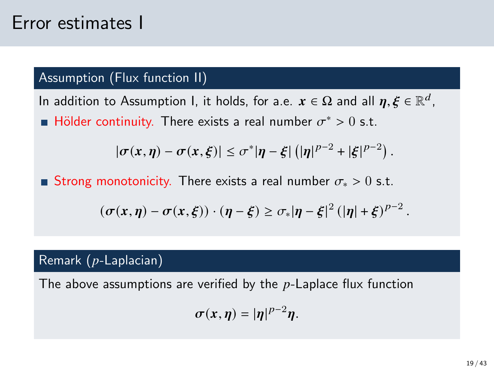## Error estimates I

### Assumption (Flux function II)

In addition to Assumption I, it holds, for a.e.  $\bm{x}\in\Omega$  and all  $\bm{\eta},\bm{\xi}\in\mathbb{R}^d$  , Hölder continuity. There exists a real number  $\sigma^* > 0$  s.t.

$$
|\sigma(x,\eta)-\sigma(x,\xi)|\leq \sigma^*|\eta-\xi|\left(|\eta|^{p-2}+|\xi|^{p-2}\right).
$$

■ Strong monotonicity. There exists a real number  $\sigma_* > 0$  s.t.

$$
(\sigma(x,\eta)-\sigma(x,\xi))\cdot(\eta-\xi)\geq \sigma_*|\eta-\xi|^2\left(|\eta|+\xi\right)^{p-2}.
$$

#### Remark  $(p$ -Laplacian)

The above assumptions are verified by the  $p$ -Laplace flux function

$$
\sigma(x,\eta)=|\eta|^{p-2}\eta.
$$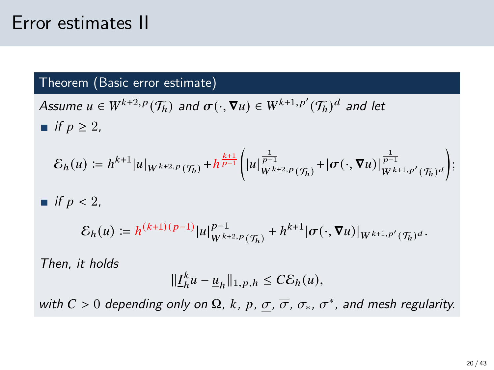## Error estimates II

#### Theorem (Basic error estimate)

Assume  $u \in W^{k+2,p}(\mathcal{T}_h)$  and  $\sigma(\cdot, \nabla u) \in W^{k+1,p'}(\mathcal{T}_h)^d$  and let ■ if  $p \geq 2$ ,

$$
\mathcal{E}_h(u) := h^{k+1} |u|_{W^{k+2,p}(\mathcal{T}_h)} + h^{\frac{k+1}{p-1}} \Big( |u|_{W^{k+2,p}(\mathcal{T}_h)}^{\frac{1}{p-1}} + |\sigma(\cdot, \nabla u)|_{W^{k+1,p'}(\mathcal{T}_h)}^{\frac{1}{p-1}} \Big);
$$

if 
$$
p < 2
$$
,  
\n
$$
\mathcal{E}_h(u) := h^{(k+1)(p-1)} |u|_{W^{k+2,p}(\mathcal{T}_h)}^{p-1} + h^{k+1} |\sigma(\cdot, \nabla u)|_{W^{k+1,p'}(\mathcal{T}_h)^d}.
$$

Then, it holds

.

$$
\|\underline{I}_h^k u - \underline{u}_h\|_{1,p,h} \leq C \mathcal{E}_h(u),
$$

with  $C > 0$  depending only on  $\Omega$ , k, p,  $\underline{\sigma}$ ,  $\overline{\sigma}$ ,  $\sigma_*$ ,  $\sigma^*$ , and mesh regularity.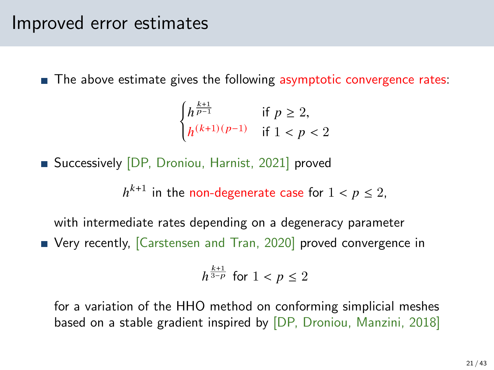### Improved error estimates

 $\blacksquare$  The above estimate gives the following asymptotic convergence rates:

$$
\begin{cases} h^{\frac{k+1}{p-1}} & \text{if } p \ge 2, \\ h^{(k+1)(p-1)} & \text{if } 1 < p < 2 \end{cases}
$$

Successively [DP, Droniou, Harnist, 2021] proved

 $h^{k+1}$  in the non-degenerate case for  $1 < p \leq 2$ ,

with intermediate rates depending on a degeneracy parameter ■ Very recently, [\[Carstensen and Tran, 2020\]](#page-41-2) proved convergence in

$$
h^{\frac{k+1}{3-p}}
$$
 for  $1 < p \le 2$ 

for a variation of the HHO method on conforming simplicial meshes based on a stable gradient inspired by [DP, Droniou, Manzini, 2018]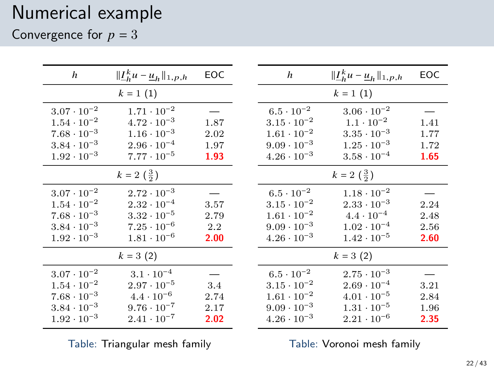### Numerical example

Convergence for  $p = 3$ 

| h                    | $\ \underline{I}_h^k u - \underline{u}_h\ _{1,p,h}$ | EOC  | h                    | $\ \underline{I}_h^k u - \underline{u}_h\ _{1,p,h}$ | EOC  |
|----------------------|-----------------------------------------------------|------|----------------------|-----------------------------------------------------|------|
|                      | $k = 1(1)$                                          |      |                      | $k = 1(1)$                                          |      |
| $3.07 \cdot 10^{-2}$ | $1.71 \cdot 10^{-2}$                                |      | $6.5 \cdot 10^{-2}$  | $3.06 \cdot 10^{-2}$                                |      |
| $1.54 \cdot 10^{-2}$ | $4.72 \cdot 10^{-3}$                                | 1.87 | $3.15 \cdot 10^{-2}$ | $1.1 \cdot 10^{-2}$                                 | 1.41 |
| $7.68 \cdot 10^{-3}$ | $1.16 \cdot 10^{-3}$                                | 2.02 | $1.61 \cdot 10^{-2}$ | $3.35 \cdot 10^{-3}$                                | 1.77 |
| $3.84 \cdot 10^{-3}$ | $2.96 \cdot 10^{-4}$                                | 1.97 | $9.09 \cdot 10^{-3}$ | $1.25 \cdot 10^{-3}$                                | 1.72 |
| $1.92 \cdot 10^{-3}$ | $7.77 \cdot 10^{-5}$                                | 1.93 | $4.26 \cdot 10^{-3}$ | $3.58 \cdot 10^{-4}$                                | 1.65 |
|                      | $k = 2 \left( \frac{3}{2} \right)$                  |      |                      | $k = 2 \left( \frac{3}{2} \right)$                  |      |
| $3.07 \cdot 10^{-2}$ | $2.72 \cdot 10^{-3}$                                |      | $6.5 \cdot 10^{-2}$  | $1.18 \cdot 10^{-2}$                                |      |
| $1.54 \cdot 10^{-2}$ | $2.32 \cdot 10^{-4}$                                | 3.57 | $3.15 \cdot 10^{-2}$ | $2.33 \cdot 10^{-3}$                                | 2.24 |
| $7.68 \cdot 10^{-3}$ | $3.32 \cdot 10^{-5}$                                | 2.79 | $1.61 \cdot 10^{-2}$ | $4.4 \cdot 10^{-4}$                                 | 2.48 |
| $3.84 \cdot 10^{-3}$ | $7.25 \cdot 10^{-6}$                                | 2.2  | $9.09 \cdot 10^{-3}$ | $1.02 \cdot 10^{-4}$                                | 2.56 |
| $1.92 \cdot 10^{-3}$ | $1.81 \cdot 10^{-6}$                                | 2.00 | $4.26 \cdot 10^{-3}$ | $1.42 \cdot 10^{-5}$                                | 2.60 |
|                      | $k = 3(2)$                                          |      |                      | $k = 3(2)$                                          |      |
| $3.07 \cdot 10^{-2}$ | $3.1 \cdot 10^{-4}$                                 |      | $6.5 \cdot 10^{-2}$  | $2.75 \cdot 10^{-3}$                                |      |
| $1.54 \cdot 10^{-2}$ | $2.97 \cdot 10^{-5}$                                | 3.4  | $3.15 \cdot 10^{-2}$ | $2.69 \cdot 10^{-4}$                                | 3.21 |
| $7.68 \cdot 10^{-3}$ | $4.4 \cdot 10^{-6}$                                 | 2.74 | $1.61 \cdot 10^{-2}$ | $4.01 \cdot 10^{-5}$                                | 2.84 |
| $3.84 \cdot 10^{-3}$ | $9.76 \cdot 10^{-7}$                                | 2.17 | $9.09 \cdot 10^{-3}$ | $1.31 \cdot 10^{-5}$                                | 1.96 |
| $1.92 \cdot 10^{-3}$ | $2.41 \cdot 10^{-7}$                                | 2.02 | $4.26 \cdot 10^{-3}$ | $2.21 \cdot 10^{-6}$                                | 2.35 |
|                      |                                                     |      |                      |                                                     |      |

Table: Triangular mesh family

Table: Voronoi mesh family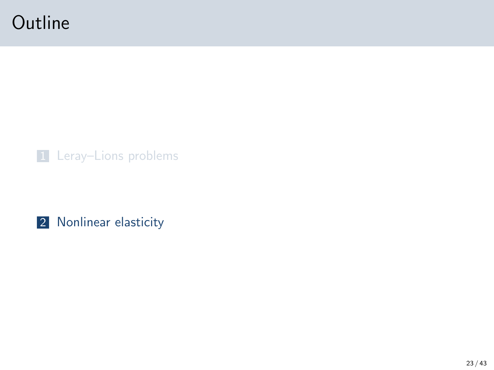## <span id="page-22-0"></span>**Outline**



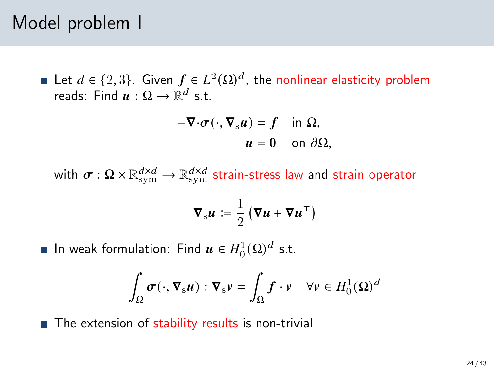### Model problem I

Let  $d \in \{2,3\}$ . Given  $f \in L^2(\Omega)^d$ , the nonlinear elasticity problem reads: Find  $\boldsymbol{u} : \Omega \to \mathbb{R}^d$  s.t.

$$
-\nabla \cdot \sigma(\cdot, \nabla_{\rm s} u) = f \quad \text{in } \Omega,
$$
  

$$
u = 0 \quad \text{on } \partial \Omega,
$$

with  $\sigma:\Omega\times\mathbb{R}_\mathrm{sym}^{d\times d}\to\mathbb{R}_\mathrm{sym}^{d\times d}$  strain-stress law and strain operator

$$
\nabla_{\mathbf{s}} u \coloneqq \frac{1}{2} \left( \nabla u + \nabla u^\top \right)
$$

In weak formulation: Find  $\boldsymbol{u} \in H^1_0(\Omega)^d$  s.t.

$$
\int_{\Omega} \sigma(\cdot, \nabla_{\mathbf{s}} \mathbf{u}) : \nabla_{\mathbf{s}} \mathbf{v} = \int_{\Omega} \mathbf{f} \cdot \mathbf{v} \quad \forall \mathbf{v} \in H_0^1(\Omega)^d
$$

■ The extension of stability results is non-trivial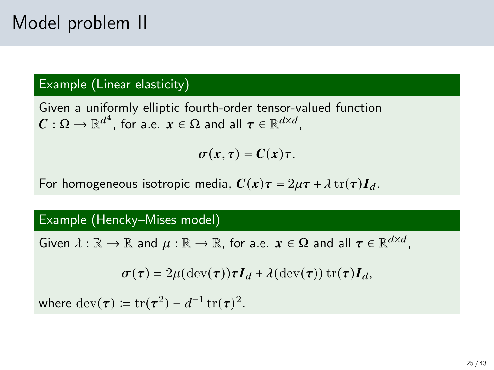## Model problem II

### Example (Linear elasticity)

Given a uniformly elliptic fourth-order tensor-valued function  $\boldsymbol{C}:\Omega\to\mathbb{R}^{d^4}$ , for a.e.  $\boldsymbol{x}\in\Omega$  and all  $\boldsymbol{\tau}\in\mathbb{R}^{d\times d}$ ,

 $\sigma(x,\tau) = C(x)\tau$ .

For homogeneous isotropic media,  $\mathbf{C}(\mathbf{x})\boldsymbol{\tau} = 2\mu \boldsymbol{\tau} + \lambda \operatorname{tr}(\boldsymbol{\tau})\boldsymbol{I}_d$ .

#### Example (Hencky–Mises model)

Given  $\lambda : \mathbb{R} \to \mathbb{R}$  and  $\mu : \mathbb{R} \to \mathbb{R}$ , for a.e.  $x \in \Omega$  and all  $\tau \in \mathbb{R}^{d \times d}$ ,

$$
\boldsymbol{\sigma}(\boldsymbol{\tau}) = 2\mu(\mathrm{dev}(\boldsymbol{\tau}))\boldsymbol{\tau}\boldsymbol{I}_d + \lambda(\mathrm{dev}(\boldsymbol{\tau}))\,\mathrm{tr}(\boldsymbol{\tau})\boldsymbol{I}_d,
$$

where  $\text{dev}(\boldsymbol{\tau}) \coloneqq \text{tr}(\boldsymbol{\tau}^2) - d^{-1} \, \text{tr}(\boldsymbol{\tau})^2.$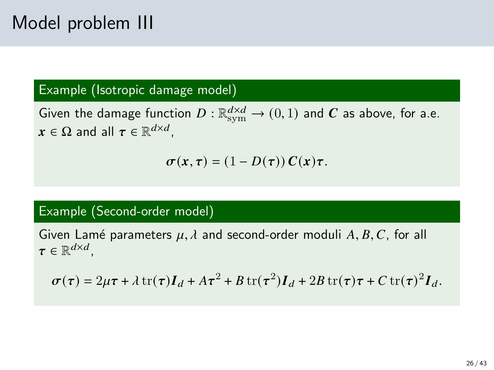#### Example (Isotropic damage model)

Given the damage function  $D: \mathbb{R}^{d\times d}_{\text{sym}} \to (0,1)$  and  $\boldsymbol{C}$  as above, for a.e.  $\boldsymbol{x} \in \Omega$  and all  $\boldsymbol{\tau} \in \mathbb{R}^{d \times d}$ ,

$$
\sigma(x,\tau)=(1-D(\tau))\,C(x)\tau.
$$

#### Example (Second-order model)

Given Lamé parameters  $\mu$ ,  $\lambda$  and second-order moduli A, B, C, for all  $\pmb{\tau} \in \mathbb{R}^{d \times d}$ ,

$$
\sigma(\tau) = 2\mu\tau + \lambda \operatorname{tr}(\tau)\boldsymbol{I}_d + A\tau^2 + B\operatorname{tr}(\tau^2)\boldsymbol{I}_d + 2B\operatorname{tr}(\tau)\tau + C\operatorname{tr}(\tau)^2\boldsymbol{I}_d.
$$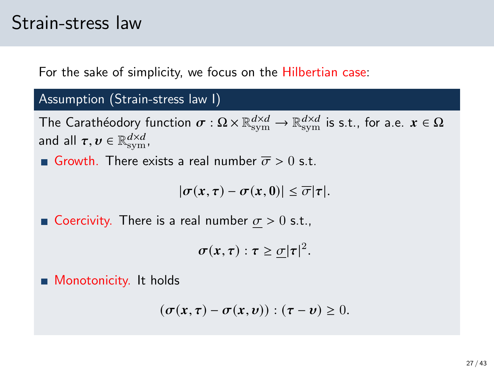### Strain-stress law

For the sake of simplicity, we focus on the Hilbertian case:

#### Assumption (Strain-stress law I)

The Carathéodory function  $\sigma:\Omega\times\mathbb{R}_\mathrm{sym}^{d\times d}\to\mathbb{R}_\mathrm{sym}^{d\times d}$  is s.t., for a.e.  $x\in\Omega$ and all  $\boldsymbol{\tau},\boldsymbol{v}\in\mathbb{R}_{\mathrm{sym}}^{d\times d},$ 

Growth. There exists a real number  $\overline{\sigma} > 0$  s.t.

 $|\sigma(x, \tau) - \sigma(x, 0)| \leq \overline{\sigma} |\tau|.$ 

Goercivity. There is a real number  $\sigma > 0$  s.t.,

 $\sigma(x,\tau): \tau \geq \underline{\sigma} |\tau|^2.$ 

**Monotonicity.** It holds

$$
(\sigma(x,\tau)-\sigma(x,v)):(\tau-v)\geq 0.
$$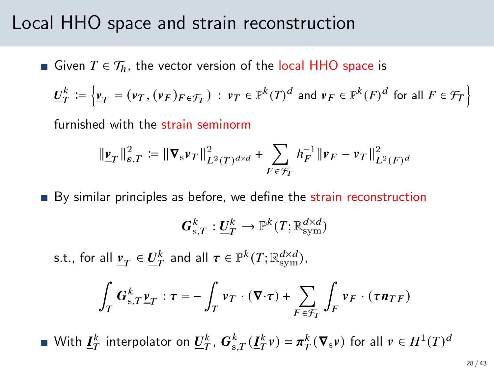### Local HHO space and strain reconstruction

Given  $T \in \mathcal{T}_h$ , the vector version of the local HHO space is

$$
\underline{U}_T^k \coloneqq \Big\{ \underline{v}_T = (\nu_T, (\nu_F)_{F \in \mathcal{F}_T}) \, : \, \nu_T \in \mathbb{P}^k(T)^d \text{ and } \nu_F \in \mathbb{P}^k(F)^d \text{ for all } F \in \mathcal{F}_T \Big\}
$$

furnished with the strain seminorm

$$
\|\underline{\mathbf{v}}_T\|_{\varepsilon,T}^2 := \|\nabla_{\mathbf{s}} \mathbf{v}_T\|_{L^2(T)^{d \times d}}^2 + \sum_{F \in \mathcal{F}_T} h_F^{-1} \|\mathbf{v}_F - \mathbf{v}_T\|_{L^2(F)^d}^2
$$

By similar principles as before, we define the strain reconstruction

$$
\boldsymbol{G}_{\text{s},T}^k:\underline{\boldsymbol{U}}_T^k\to\mathbb{P}^k(T;\mathbb{R}_\text{sym}^{d\times d})
$$

s.t., for all  $\underline{v}_T \in \underline{U}_T^k$  and all  $\tau \in \mathbb{P}^k(T; \mathbb{R}_\mathrm{sym}^{d \times d})$ ,

$$
\int_T \mathbf{G}_{\mathrm{s},T}^k \underline{\mathbf{v}}_T : \tau = -\int_T \mathbf{v}_T \cdot (\nabla \cdot \tau) + \sum_{F \in \mathcal{F}_T} \int_F \mathbf{v}_F \cdot (\tau \mathbf{n}_{TF})
$$

With  $\underline{I}_T^k$  interpolator on  $\underline{U}_T^k$ ,  $G_{\mathrm{s},T}^k(\underline{I}_T^k v) = \pi_T^k(\nabla_{\mathrm{s}} v)$  for all  $v \in H^1(T)^d$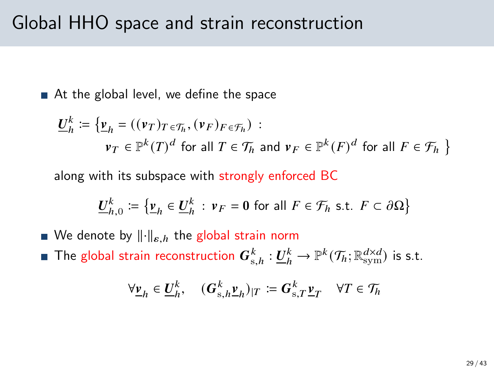■ At the global level, we define the space

$$
\underline{U}_h^k := \{ \underline{v}_h = ((\nu_T)_{T \in \mathcal{T}_h}, (\nu_F)_{F \in \mathcal{T}_h}) :
$$
  

$$
\nu_T \in \mathbb{P}^k(T)^d \text{ for all } T \in \mathcal{T}_h \text{ and } \nu_F \in \mathbb{P}^k(F)^d \text{ for all } F \in \mathcal{F}_h \}
$$

along with its subspace with strongly enforced BC

$$
\underline{U}_{h,0}^k := \{ \underline{v}_h \in \underline{U}_h^k : v_F = 0 \text{ for all } F \in \mathcal{F}_h \text{ s.t. } F \subset \partial \Omega \}
$$

- We denote by  $\lVert \cdot \rVert_{\varepsilon,h}$  the global strain norm
- The global strain reconstruction  $\bm{G}_{\text{s},h}^k:\underline{\bm{U}}_h^k\to\mathbb{P}^k(\mathcal{T}_h;\mathbb{R}_{\text{sym}}^{d\times d})$  is s.t.

$$
\forall \underline{v}_h \in \underline{U}_h^k, \quad (\boldsymbol{G}_{\mathrm{s},h}^k \underline{v}_h)_{|T} \coloneqq \boldsymbol{G}_{\mathrm{s},T}^k \underline{v}_T \quad \forall T \in \mathcal{T}_h
$$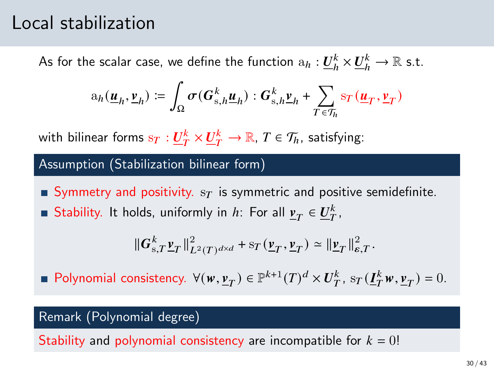### Local stabilization

As for the scalar case, we define the function  $\mathrm{a}_h: \underline{U}_h^k\times \underline{U}_h^k\to \mathbb{R}$  s.t.

$$
\mathbf{a}_h(\underline{\mathbf{u}}_h, \underline{\mathbf{v}}_h) \coloneqq \int_{\Omega} \sigma(\mathbf{G}_{\mathrm{s},h}^k \underline{\mathbf{u}}_h) : \mathbf{G}_{\mathrm{s},h}^k \underline{\mathbf{v}}_h + \sum_{T \in \mathcal{T}_h} \mathrm{sr}(\underline{\mathbf{u}}_T, \underline{\mathbf{v}}_T)
$$

with bilinear forms  $\mathrm{s}_T:\underline{U}_T^k\times\underline{U}_T^k\to\mathbb{R}$ ,  $T\in\mathcal{T}_h$ , satisfying:

#### Assumption (Stabilization bilinear form)

Symmetry and positivity.  $s_T$  is symmetric and positive semidefinite. Stability. It holds, uniformly in *h*: For all  $\underline{v}_T \in \underline{U}_T^k$ ,

$$
\|\boldsymbol{G}_{\text{s},T}^k\boldsymbol{\underline{v}}_T\|_{L^2(T)^{d\times d}}^2 + {\rm s}_T\left(\boldsymbol{\underline{v}}_T,\boldsymbol{\underline{v}}_T\right) \simeq \|\boldsymbol{\underline{v}}_T\|_{\epsilon,T}^2.
$$

Polynomial consistency.  $\forall (w, \underline{v}_T) \in \mathbb{P}^{k+1}(T)^d \times U_T^k$ ,  $s_T(\underline{I}_T^k w, \underline{v}_T) = 0$ .

#### Remark (Polynomial degree)

Stability and polynomial consistency are incompatible for  $k = 0!$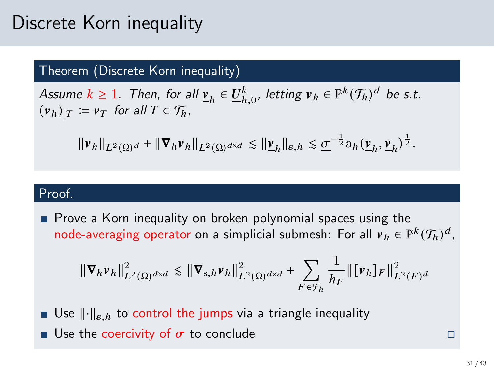## Discrete Korn inequality

#### Theorem (Discrete Korn inequality)

Assume  $k \ge 1$ . Then, for all  $\underline{v}_h \in \underline{U}_{h,0}^k$ , letting  $v_h \in \mathbb{P}^k(\mathcal{T}_h)^d$  be s.t.  $(v_h)_{|T} := v_T$  for all  $T \in \mathcal{T}_h$ ,

$$
\|\nu_h\|_{L^2(\Omega)^d} + \|\nabla_h \nu_h\|_{L^2(\Omega)^{d\times d}} \lesssim \|\underline{\nu}_h\|_{\varepsilon, h} \lesssim \underline{\sigma}^{-\frac{1}{2}} a_h(\underline{\nu}_h, \underline{\nu}_h)^{\frac{1}{2}}.
$$

#### Proof.

**Prove a Korn inequality on broken polynomial spaces using the** node-averaging operator on a simplicial submesh: For all  $v_h \in \mathbb{P}^k(\mathcal{T}_h)^d$ ,

$$
\|\nabla_h v_h\|_{L^2(\Omega)^{d\times d}}^2 \lesssim \|\nabla_{s,h} v_h\|_{L^2(\Omega)^{d\times d}}^2 + \sum_{F \in \mathcal{F}_h} \frac{1}{h_F} \|\big[v_h\big]_F\|_{L^2(F)^d}^2
$$

- **Use**  $\|\cdot\|_{\varepsilon,h}$  to control the jumps via a triangle inequality
- **u** Use the coercivity of  $\sigma$  to conclude **Example 2** to  $\Box$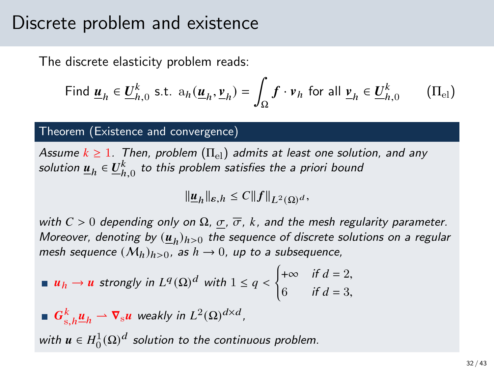### Discrete problem and existence

The discrete elasticity problem reads:

<span id="page-31-0"></span>Find 
$$
\underline{\mathbf{u}}_h \in \underline{\mathbf{U}}_{h,0}^k
$$
 s.t.  $a_h(\underline{\mathbf{u}}_h, \underline{\mathbf{v}}_h) = \int_{\Omega} \mathbf{f} \cdot \mathbf{v}_h$  for all  $\underline{\mathbf{v}}_h \in \underline{\mathbf{U}}_{h,0}^k$  (II<sub>el</sub>)

#### Theorem (Existence and convergence)

Assume  $k \geq 1$ . Then, problem  $(\Pi_{el})$  admits at least one solution, and any solution  $\underline{\boldsymbol{u}}_h \in \underline{U}_{h,0}^k$  to this problem satisfies the a priori bound

$$
\|\underline{\boldsymbol{u}}_h\|_{\varepsilon,h}\leq C\|f\|_{L^2(\Omega)^d},
$$

with  $C > 0$  depending only on  $\Omega$ ,  $\sigma$ ,  $\overline{\sigma}$ , k, and the mesh regularity parameter. Moreover, denoting by  $(\underline{\pmb{u}}_h)_{h>0}$  the sequence of discrete solutions on a regular mesh sequence  $(M_h)_{h>0}$ , as  $h \to 0$ , up to a subsequence,

**ii** 
$$
u_h \to u
$$
 strongly in  $L^q(\Omega)^d$  with  $1 \le q < \begin{cases} +\infty & \text{if } d = 2, \\ 6 & \text{if } d = 3, \end{cases}$ 

 $\boldsymbol{G}_{\text{s},h}^k \underline{\boldsymbol{u}}_h \rightharpoonup \boldsymbol{\nabla}_{\text{s}} \boldsymbol{u}$  weakly in  $L^2(\Omega)^{d \times d}$ ,

with  $\pmb{u}\in H^1_0(\Omega)^d$  solution to the continuous problem.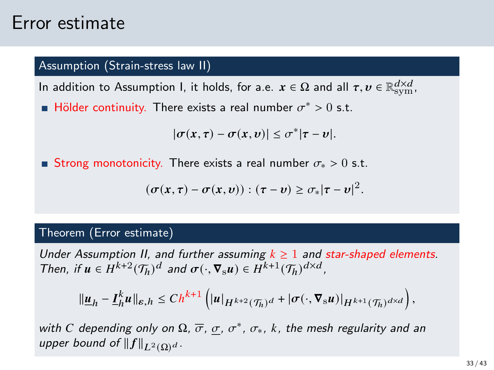### Error estimate

#### Assumption (Strain-stress law II)

In addition to Assumption I, it holds, for a.e.  $x\in\Omega$  and all  $\tau, v\in\mathbb{R}_{\rm sym}^{d\times d}$ ,

Hölder continuity. There exists a real number  $\sigma^* > 0$  s.t.

$$
|\sigma(x,\tau)-\sigma(x,v)|\leq \sigma^*|\tau-v|.
$$

■ Strong monotonicity. There exists a real number  $\sigma_* > 0$  s.t.

$$
(\sigma(x,\tau)-\sigma(x,v)):(\tau-v)\geq \sigma_*|\tau-v|^2.
$$

#### Theorem (Error estimate)

Under Assumption II, and further assuming  $k \geq 1$  and star-shaped elements. Then, if  $u \in H^{k+2}(\mathcal{T}_h)^d$  and  $\sigma(\cdot, \nabla_s u) \in H^{k+1}(\mathcal{T}_h)^{d \times d}$ ,

$$
\|\underline{\boldsymbol{u}}_h-\underline{\boldsymbol{I}}_h^k\boldsymbol{u}\|_{\varepsilon,h}\leq Ch^{k+1}\left(\|\boldsymbol{u}\|_{H^{k+2}(\mathcal{T}_h)^d}+\|\boldsymbol{\sigma}(\cdot,\boldsymbol{\nabla}_{\mathbf{s}}\boldsymbol{u})\|_{H^{k+1}(\mathcal{T}_h)^{d\times d}}\right),
$$

with C depending only on  $\Omega$ ,  $\overline{\sigma}$ ,  $\sigma$ ,  $\sigma^*$ ,  $\sigma_*$ , k, the mesh regularity and an upper bound of  $||f||_{L^2(\Omega)}d$ .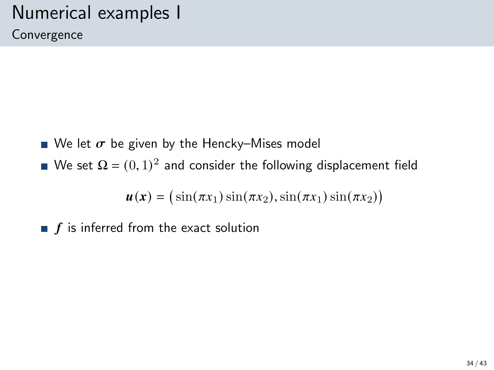# Numerical examples I

Convergence

- We let  $\sigma$  be given by the Hencky–Mises model
- We set  $\Omega = (0, 1)^2$  and consider the following displacement field

$$
\boldsymbol{u}(\boldsymbol{x}) = (\sin(\pi x_1)\sin(\pi x_2), \sin(\pi x_1)\sin(\pi x_2))
$$

 $\blacksquare$   $f$  is inferred from the exact solution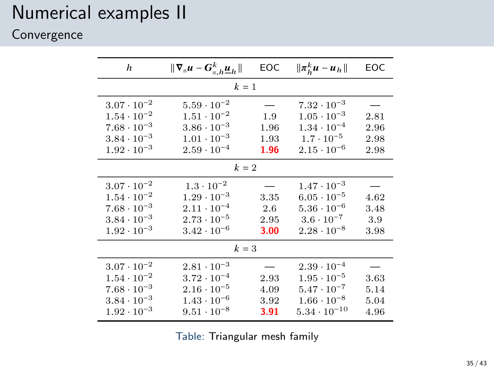### Numerical examples II

### Convergence

| h                                                                                                                    | $\ \nabla_{\mathbf{s}} u - G_{\mathbf{s},h}^k \underline{u}_h\ $                                                     | EOC                          | $\ \pi_h^k u - u_h\ $                                                                                                 | EOC                          |  |  |  |  |
|----------------------------------------------------------------------------------------------------------------------|----------------------------------------------------------------------------------------------------------------------|------------------------------|-----------------------------------------------------------------------------------------------------------------------|------------------------------|--|--|--|--|
| $k=1$                                                                                                                |                                                                                                                      |                              |                                                                                                                       |                              |  |  |  |  |
| $3.07 \cdot 10^{-2}$<br>$1.54 \cdot 10^{-2}$                                                                         | $5.59 \cdot 10^{-2}$<br>$1.51 \cdot 10^{-2}$                                                                         | 1.9                          | $7.32 \cdot 10^{-3}$<br>$1.05 \cdot 10^{-3}$                                                                          | 2.81                         |  |  |  |  |
| $7.68 \cdot 10^{-3}$<br>$3.84 \cdot 10^{-3}$                                                                         | $3.86 \cdot 10^{-3}$<br>$1.01 \cdot 10^{-3}$                                                                         | 1.96<br>1.93                 | $1.34 \cdot 10^{-4}$<br>$1.7 \cdot 10^{-5}$                                                                           | 2.96<br>2.98                 |  |  |  |  |
| $1.92 \cdot 10^{-3}$                                                                                                 | $2.59 \cdot 10^{-4}$                                                                                                 | 1.96                         | $2.15 \cdot 10^{-6}$                                                                                                  | 2.98                         |  |  |  |  |
| $k=2$                                                                                                                |                                                                                                                      |                              |                                                                                                                       |                              |  |  |  |  |
| $3.07 \cdot 10^{-2}$<br>$1.54 \cdot 10^{-2}$<br>$7.68 \cdot 10^{-3}$<br>$3.84 \cdot 10^{-3}$<br>$1.92 \cdot 10^{-3}$ | $1.3 \cdot 10^{-2}$<br>$1.29 \cdot 10^{-3}$<br>$2.11 \cdot 10^{-4}$<br>$2.73 \cdot 10^{-5}$<br>$3.42 \cdot 10^{-6}$  | 3.35<br>2.6<br>2.95<br>3.00  | $1.47 \cdot 10^{-3}$<br>$6.05 \cdot 10^{-5}$<br>$5.36 \cdot 10^{-6}$<br>$3.6 \cdot 10^{-7}$<br>$2.28 \cdot 10^{-8}$   | 4.62<br>3.48<br>3.9<br>3.98  |  |  |  |  |
| $k=3$                                                                                                                |                                                                                                                      |                              |                                                                                                                       |                              |  |  |  |  |
| $3.07 \cdot 10^{-2}$<br>$1.54 \cdot 10^{-2}$<br>$7.68 \cdot 10^{-3}$<br>$3.84 \cdot 10^{-3}$<br>$1.92 \cdot 10^{-3}$ | $2.81 \cdot 10^{-3}$<br>$3.72 \cdot 10^{-4}$<br>$2.16 \cdot 10^{-5}$<br>$1.43 \cdot 10^{-6}$<br>$9.51 \cdot 10^{-8}$ | 2.93<br>4.09<br>3.92<br>3.91 | $2.39 \cdot 10^{-4}$<br>$1.95 \cdot 10^{-5}$<br>$5.47 \cdot 10^{-7}$<br>$1.66 \cdot 10^{-8}$<br>$5.34 \cdot 10^{-10}$ | 3.63<br>5.14<br>5.04<br>4.96 |  |  |  |  |

Table: Triangular mesh family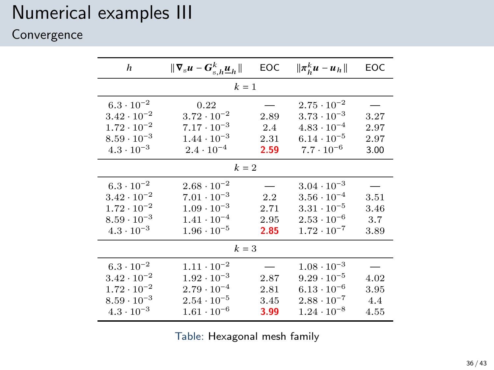### Numerical examples III

### Convergence

| h                    | $\ \nabla_{\mathbf{s}} u - G_{\mathbf{s},h}^k \underline{u}_h\ $ | EOC  | $\ \pi_k^k u - u_h\ $ | EOC  |  |  |  |  |
|----------------------|------------------------------------------------------------------|------|-----------------------|------|--|--|--|--|
| $k=1$                |                                                                  |      |                       |      |  |  |  |  |
| $6.3 \cdot 10^{-2}$  | 0.22                                                             |      | $2.75 \cdot 10^{-2}$  |      |  |  |  |  |
| $3.42 \cdot 10^{-2}$ | $3.72 \cdot 10^{-2}$                                             | 2.89 | $3.73 \cdot 10^{-3}$  | 3.27 |  |  |  |  |
| $1.72 \cdot 10^{-2}$ | $7.17 \cdot 10^{-3}$                                             | 2.4  | $4.83 \cdot 10^{-4}$  | 2.97 |  |  |  |  |
| $8.59 \cdot 10^{-3}$ | $1.44 \cdot 10^{-3}$                                             | 2.31 | $6.14 \cdot 10^{-5}$  | 2.97 |  |  |  |  |
| $4.3 \cdot 10^{-3}$  | $2.4 \cdot 10^{-4}$                                              | 2.59 | $7.7 \cdot 10^{-6}$   | 3.00 |  |  |  |  |
| $k=2$                |                                                                  |      |                       |      |  |  |  |  |
| $6.3 \cdot 10^{-2}$  | $2.68 \cdot 10^{-2}$                                             |      | $3.04 \cdot 10^{-3}$  |      |  |  |  |  |
| $3.42 \cdot 10^{-2}$ | $7.01 \cdot 10^{-3}$                                             | 2.2  | $3.56 \cdot 10^{-4}$  | 3.51 |  |  |  |  |
| $1.72 \cdot 10^{-2}$ | $1.09 \cdot 10^{-3}$                                             | 2.71 | $3.31 \cdot 10^{-5}$  | 3.46 |  |  |  |  |
| $8.59 \cdot 10^{-3}$ | $1.41 \cdot 10^{-4}$                                             | 2.95 | $2.53 \cdot 10^{-6}$  | 3.7  |  |  |  |  |
| $4.3 \cdot 10^{-3}$  | $1.96 \cdot 10^{-5}$                                             | 2.85 | $1.72 \cdot 10^{-7}$  | 3.89 |  |  |  |  |
| $k=3$                |                                                                  |      |                       |      |  |  |  |  |
| $6.3 \cdot 10^{-2}$  | $1.11 \cdot 10^{-2}$                                             |      | $1.08 \cdot 10^{-3}$  |      |  |  |  |  |
| $3.42 \cdot 10^{-2}$ | $1.92 \cdot 10^{-3}$                                             | 2.87 | $9.29 \cdot 10^{-5}$  | 4.02 |  |  |  |  |
| $1.72 \cdot 10^{-2}$ | $2.79 \cdot 10^{-4}$                                             | 2.81 | $6.13 \cdot 10^{-6}$  | 3.95 |  |  |  |  |
| $8.59 \cdot 10^{-3}$ | $2.54 \cdot 10^{-5}$                                             | 3.45 | $2.88 \cdot 10^{-7}$  | 4.4  |  |  |  |  |
| $4.3 \cdot 10^{-3}$  | $1.61 \cdot 10^{-6}$                                             | 3.99 | $1.24 \cdot 10^{-8}$  | 4.55 |  |  |  |  |

Table: Hexagonal mesh family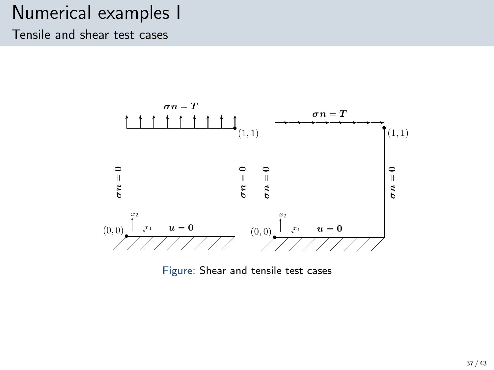### Numerical examples I

Tensile and shear test cases



Figure: Shear and tensile test cases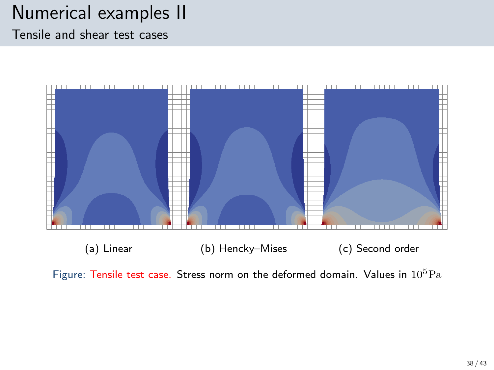## Numerical examples II

Tensile and shear test cases



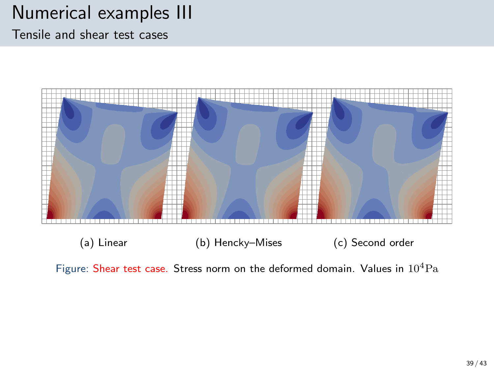### Numerical examples III

Tensile and shear test cases



Figure: Shear test case. Stress norm on the deformed domain. Values in  $10^4$ Pa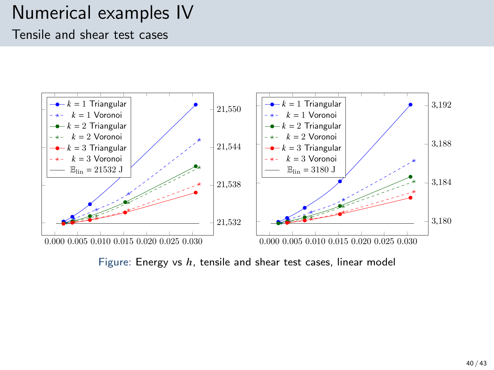### Numerical examples IV Tensile and shear test cases



Figure: Energy vs  $h$ , tensile and shear test cases, linear model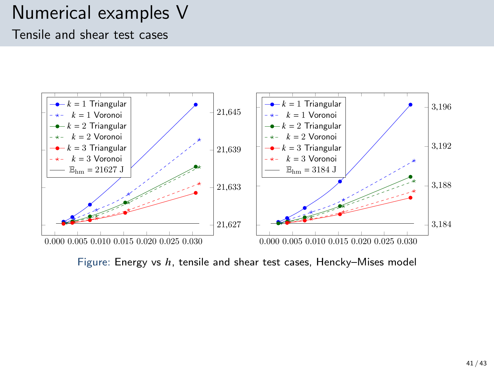### Numerical examples V Tensile and shear test cases



Figure: Energy vs  $h$ , tensile and shear test cases, Hencky–Mises model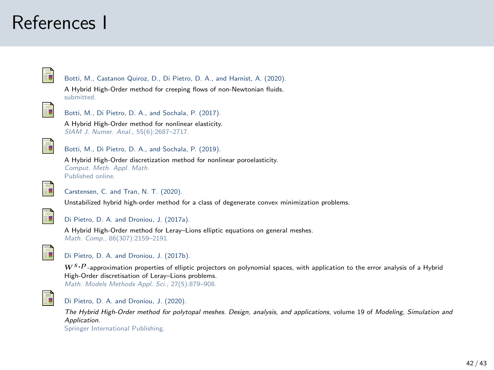### References I



Botti, M., Castanon Quiroz, D., Di Pietro, D. A., and Harnist, A. (2020).

A Hybrid High-Order method for creeping flows of non-Newtonian fluids. submitted.



Ē.

Botti, M., Di Pietro, D. A., and Sochala, P. (2017).

A Hybrid High-Order method for nonlinear elasticity. SIAM J. Numer. Anal., 55(6):2687–2717.



A Hybrid High-Order discretization method for nonlinear poroelasticity. Comput. Meth. Appl. Math. Published online.

<span id="page-41-2"></span>

#### Carstensen, C. and Tran, N. T. (2020).

Unstabilized hybrid high-order method for a class of degenerate convex minimization problems.

<span id="page-41-0"></span>

#### Di Pietro, D. A. and Droniou, J. (2017a).

A Hybrid High-Order method for Leray–Lions elliptic equations on general meshes. Math. Comp., 86(307):2159–2191.

<span id="page-41-1"></span>

#### Di Pietro, D. A. and Droniou, J. (2017b).

 $W^{S,P}$ -approximation properties of elliptic projectors on polynomial spaces, with application to the error analysis of a Hybrid High-Order discretisation of Leray–Lions problems.

Math. Models Methods Appl. Sci., 27(5):879–908.

<span id="page-41-3"></span>

#### Di Pietro, D. A. and Droniou, J. (2020).

The Hybrid High-Order method for polytopal meshes. Design, analysis, and applications, volume 19 of Modeling, Simulation and Application.

Springer International Publishing.